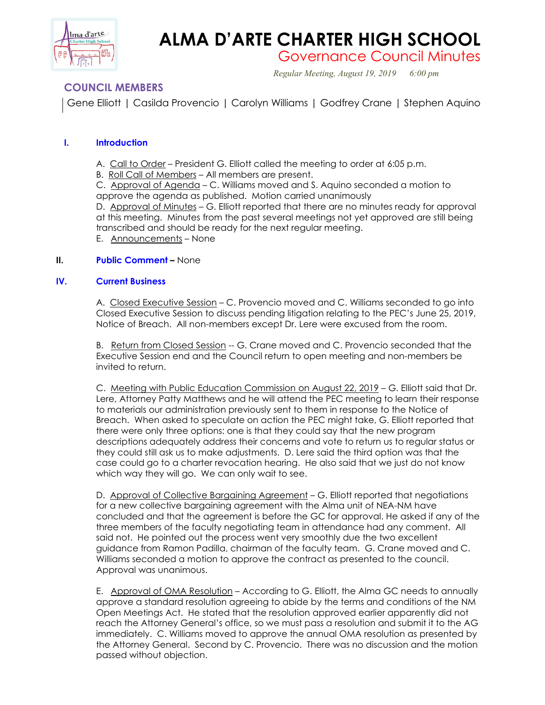

# **ALMA D'ARTE CHARTER HIGH SCHOOL**

Governance Council Minutes

*Regular Meeting, August 19, 2019 6:00 pm*

# **COUNCIL MEMBERS**

Gene Elliott | Casilda Provencio | Carolyn Williams | Godfrey Crane | Stephen Aquino

# **I. Introduction**

- A. Call to Order President G. Elliott called the meeting to order at 6:05 p.m.
- B. Roll Call of Members All members are present.

C. Approval of Agenda – C. Williams moved and S. Aquino seconded a motion to approve the agenda as published. Motion carried unanimously

D. Approval of Minutes - G. Elliott reported that there are no minutes ready for approval at this meeting. Minutes from the past several meetings not yet approved are still being transcribed and should be ready for the next regular meeting.

E. Announcements – None

## **II. Public Comment –** None

## **IV. Current Business**

A. Closed Executive Session – C. Provencio moved and C. Williams seconded to go into Closed Executive Session to discuss pending litigation relating to the PEC's June 25, 2019, Notice of Breach. All non-members except Dr. Lere were excused from the room.

B. Return from Closed Session -- G. Crane moved and C. Provencio seconded that the Executive Session end and the Council return to open meeting and non-members be invited to return.

C. Meeting with Public Education Commission on August 22, 2019 – G. Elliott said that Dr. Lere, Attorney Patty Matthews and he will attend the PEC meeting to learn their response to materials our administration previously sent to them in response to the Notice of Breach. When asked to speculate on action the PEC might take, G. Elliott reported that there were only three options: one is that they could say that the new program descriptions adequately address their concerns and vote to return us to regular status or they could still ask us to make adjustments. D. Lere said the third option was that the case could go to a charter revocation hearing. He also said that we just do not know which way they will go. We can only wait to see.

D. Approval of Collective Bargaining Agreement – G. Elliott reported that negotiations for a new collective bargaining agreement with the Alma unit of NEA-NM have concluded and that the agreement is before the GC for approval. He asked if any of the three members of the faculty negotiating team in attendance had any comment. All said not. He pointed out the process went very smoothly due the two excellent guidance from Ramon Padilla, chairman of the faculty team. G. Crane moved and C. Williams seconded a motion to approve the contract as presented to the council. Approval was unanimous.

E. Approval of OMA Resolution – According to G. Elliott, the Alma GC needs to annually approve a standard resolution agreeing to abide by the terms and conditions of the NM Open Meetings Act. He stated that the resolution approved earlier apparently did not reach the Attorney General's office, so we must pass a resolution and submit it to the AG immediately. C. Williams moved to approve the annual OMA resolution as presented by the Attorney General. Second by C. Provencio. There was no discussion and the motion passed without objection.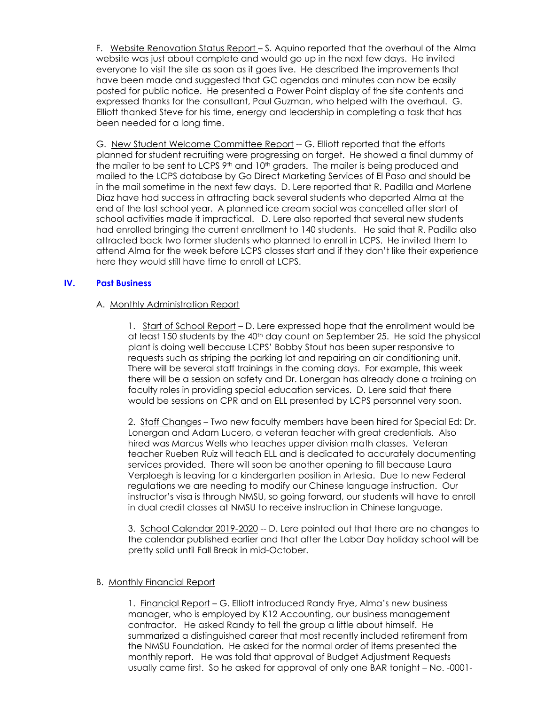F. Website Renovation Status Report – S. Aquino reported that the overhaul of the Alma website was just about complete and would go up in the next few days. He invited everyone to visit the site as soon as it goes live. He described the improvements that have been made and suggested that GC agendas and minutes can now be easily posted for public notice. He presented a Power Point display of the site contents and expressed thanks for the consultant, Paul Guzman, who helped with the overhaul. G. Elliott thanked Steve for his time, energy and leadership in completing a task that has been needed for a long time.

G. New Student Welcome Committee Report -- G. Elliott reported that the efforts planned for student recruiting were progressing on target. He showed a final dummy of the mailer to be sent to LCPS 9th and 10th graders. The mailer is being produced and mailed to the LCPS database by Go Direct Marketing Services of El Paso and should be in the mail sometime in the next few days. D. Lere reported that R. Padilla and Marlene Diaz have had success in attracting back several students who departed Alma at the end of the last school year. A planned ice cream social was cancelled after start of school activities made it impractical. D. Lere also reported that several new students had enrolled bringing the current enrollment to 140 students. He said that R. Padilla also attracted back two former students who planned to enroll in LCPS. He invited them to attend Alma for the week before LCPS classes start and if they don't like their experience here they would still have time to enroll at LCPS.

#### **IV. Past Business**

#### A. Monthly Administration Report

1. Start of School Report – D. Lere expressed hope that the enrollment would be at least 150 students by the 40<sup>th</sup> day count on September 25. He said the physical plant is doing well because LCPS' Bobby Stout has been super responsive to requests such as striping the parking lot and repairing an air conditioning unit. There will be several staff trainings in the coming days. For example, this week there will be a session on safety and Dr. Lonergan has already done a training on faculty roles in providing special education services. D. Lere said that there would be sessions on CPR and on ELL presented by LCPS personnel very soon.

2. Staff Changes – Two new faculty members have been hired for Special Ed: Dr. Lonergan and Adam Lucero, a veteran teacher with great credentials. Also hired was Marcus Wells who teaches upper division math classes. Veteran teacher Rueben Ruiz will teach ELL and is dedicated to accurately documenting services provided. There will soon be another opening to fill because Laura Verploegh is leaving for a kindergarten position in Artesia. Due to new Federal regulations we are needing to modify our Chinese language instruction. Our instructor's visa is through NMSU, so going forward, our students will have to enroll in dual credit classes at NMSU to receive instruction in Chinese language.

3. School Calendar 2019-2020 -- D. Lere pointed out that there are no changes to the calendar published earlier and that after the Labor Day holiday school will be pretty solid until Fall Break in mid-October.

#### B. Monthly Financial Report

1. Financial Report – G. Elliott introduced Randy Frye, Alma's new business manager, who is employed by K12 Accounting, our business management contractor. He asked Randy to tell the group a little about himself. He summarized a distinguished career that most recently included retirement from the NMSU Foundation. He asked for the normal order of items presented the monthly report. He was told that approval of Budget Adjustment Requests usually came first. So he asked for approval of only one BAR tonight – No. -0001-